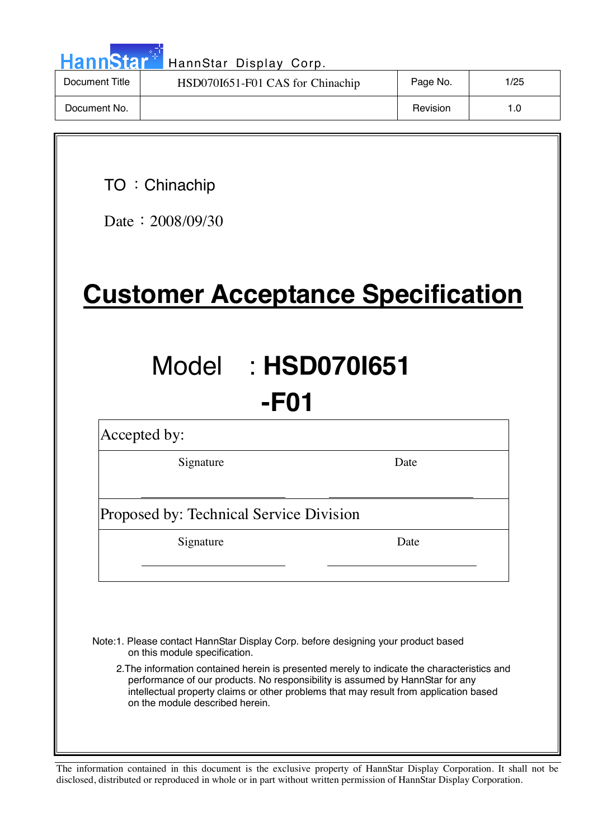| <b>HannStar</b> <sup>*</sup> | HannStar Display Corp.           |          |      |
|------------------------------|----------------------------------|----------|------|
| Document Title               | HSD070I651-F01 CAS for Chinachip | Page No. | 1/25 |
| Document No.                 |                                  | Revision |      |

TO : Chinachip

Date: 2008/09/30

**Customer Acceptance Specification**

# Model : **HSD070I651 -F01**

Accepted by:

Signature Date

Proposed by: Technical Service Division

Signature Date

Note:1. Please contact HannStar Display Corp. before designing your product based on this module specification.

2.The information contained herein is presented merely to indicate the characteristics and performance of our products. No responsibility is assumed by HannStar for any intellectual property claims or other problems that may result from application based on the module described herein.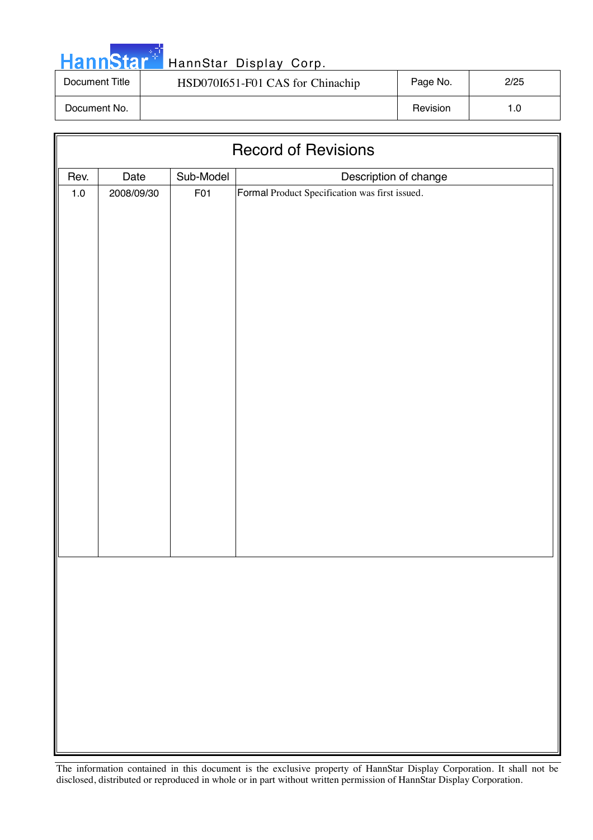|  |  | <b>HannStar</b> |  |
|--|--|-----------------|--|
|  |  |                 |  |

| Document Title | HSD070I651-F01 CAS for Chinachip | Page No. | 2/25 |
|----------------|----------------------------------|----------|------|
| Document No.   |                                  | Revision | 1.0  |

| <b>Record of Revisions</b> |            |           |                                                |  |  |
|----------------------------|------------|-----------|------------------------------------------------|--|--|
| Rev.                       | Date       | Sub-Model | Description of change                          |  |  |
| $1.0\,$                    | 2008/09/30 | F01       | Formal Product Specification was first issued. |  |  |
|                            |            |           |                                                |  |  |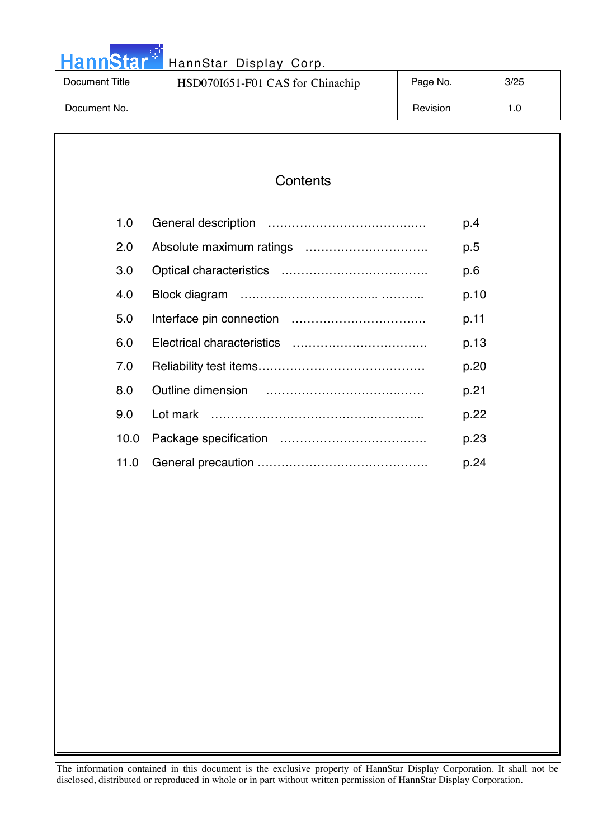# HannStar<sup>th</sup> HannStar Display Corp.

| Document Title | HSD070I651-F01 CAS for Chinachip | Page No. | 3/25 |
|----------------|----------------------------------|----------|------|
| Document No.   |                                  | Revision |      |

### **Contents**

| 1.0  | p.4  |
|------|------|
| 2.0  | p.5  |
| 3.0  | p.6  |
| 4.0  | p.10 |
| 5.0  | p.11 |
| 6.0  | p.13 |
| 7.0  | p.20 |
| 8.0  | p.21 |
| 9.0  | p.22 |
| 10.0 | p.23 |
| 11.0 | p.24 |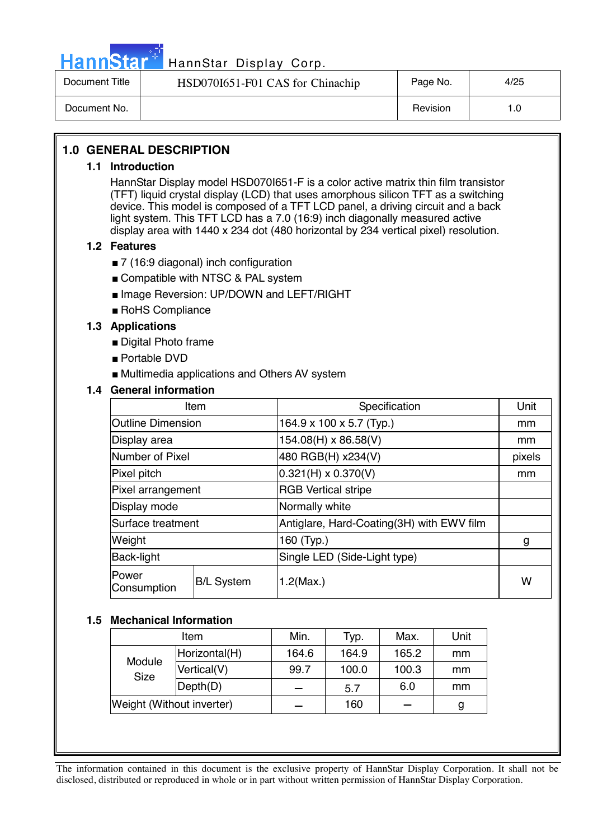

# Hann Star<sup>47</sup> HannStar Display Corp.

| Document Title | HSD070I651-F01 CAS for Chinachip | Page No. | 4/25 |
|----------------|----------------------------------|----------|------|
| Document No.   |                                  | Revision | 0. ا |

#### **1.0 GENERAL DESCRIPTION**

#### **1.1 Introduction**

HannStar Display model HSD070I651-F is a color active matrix thin film transistor (TFT) liquid crystal display (LCD) that uses amorphous silicon TFT as a switching device. This model is composed of a TFT LCD panel, a driving circuit and a back light system. This TFT LCD has a 7.0 (16:9) inch diagonally measured active display area with 1440 x 234 dot (480 horizontal by 234 vertical pixel) resolution.

#### **1.2 Features**

- 7 (16:9 diagonal) inch configuration
- Compatible with NTSC & PAL system
- Image Reversion: UP/DOWN and LEFT/RIGHT
- RoHS Compliance

#### **1.3 Applications**

- Digital Photo frame
- Portable DVD
- Multimedia applications and Others AV system

#### **1.4 General information**

|                             | Item              | Specification                             | Unit   |  |  |
|-----------------------------|-------------------|-------------------------------------------|--------|--|--|
| <b>Outline Dimension</b>    |                   | 164.9 x 100 x 5.7 (Typ.)                  | mm     |  |  |
| Display area                |                   | 154.08(H) x 86.58(V)                      | mm     |  |  |
| Number of Pixel             |                   | 480 RGB(H) x234(V)                        | pixels |  |  |
| Pixel pitch                 |                   | $0.321(H) \times 0.370(V)$                | mm     |  |  |
| Pixel arrangement           |                   | <b>RGB Vertical stripe</b>                |        |  |  |
| Display mode                |                   | Normally white                            |        |  |  |
| Surface treatment           |                   | Antiglare, Hard-Coating(3H) with EWV film |        |  |  |
| Weight                      |                   | 160 (Typ.)                                | g      |  |  |
| Back-light                  |                   | Single LED (Side-Light type)              |        |  |  |
| <b>Power</b><br>Consumption | <b>B/L System</b> | $1.2$ (Max.)                              |        |  |  |

#### **1.5 Mechanical Information**

| Item                      |               | Min.  | Typ.  | Max.  | Unit |
|---------------------------|---------------|-------|-------|-------|------|
| Module<br><b>Size</b>     | Horizontal(H) | 164.6 | 164.9 | 165.2 | mm   |
|                           | Vertical(V)   | 99.7  | 100.0 | 100.3 | mm   |
|                           | Depth(D)      |       | 5.7   | 6.0   | mm   |
| Weight (Without inverter) |               |       | 160   |       | g    |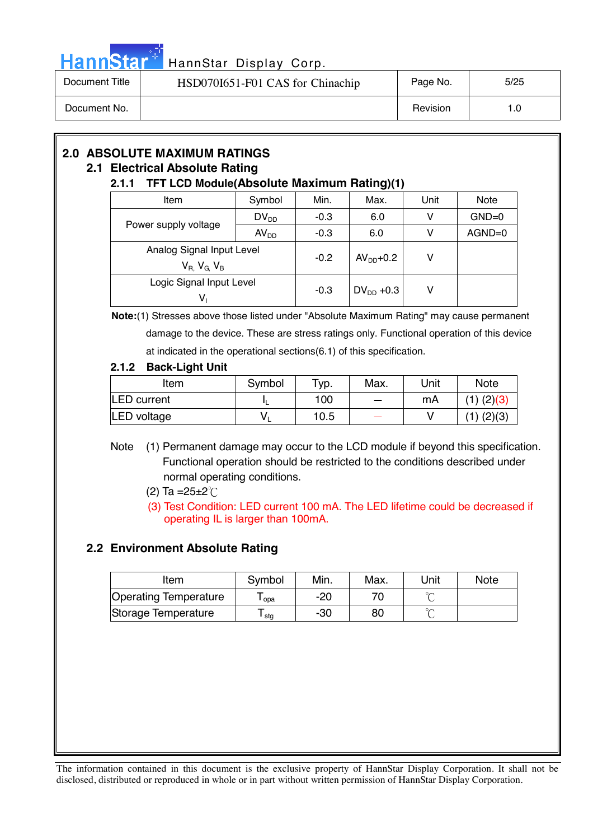

# HannStar<sup>47</sup> HannStar Display Corp.

| Document Title | HSD070I651-F01 CAS for Chinachip | Page No. | 5/25 |
|----------------|----------------------------------|----------|------|
| Document No.   |                                  | Revision | 1.0  |

# **2.0 ABSOLUTE MAXIMUM RATINGS**

### **2.1 Electrical Absolute Rating**

#### **2.1.1 TFT LCD Module(Absolute Maximum Rating)(1)**

| Item                        | Symbol           | Min.   | Max.           | Unit | <b>Note</b> |
|-----------------------------|------------------|--------|----------------|------|-------------|
|                             | $DV_{DD}$        | $-0.3$ | 6.0            | ۷    | $GND=0$     |
| Power supply voltage        | AV <sub>DD</sub> | $-0.3$ | 6.0            | v    | $AGND=0$    |
| Analog Signal Input Level   |                  |        |                |      |             |
| $V_{R}$ , $V_{G}$ , $V_{B}$ |                  | $-0.2$ | $AVDD+0.2$     | v    |             |
| Logic Signal Input Level    |                  |        |                | ۷    |             |
| V,                          |                  | $-0.3$ | $DV_{DD}$ +0.3 |      |             |

 **Note:**(1) Stresses above those listed under "Absolute Maximum Rating" may cause permanent damage to the device. These are stress ratings only. Functional operation of this device at indicated in the operational sections(6.1) of this specification.

#### **2.1.2 Back-Light Unit**

| Item               | Symbol | $TVD$ . | Max.   | Unit | <b>Note</b> |
|--------------------|--------|---------|--------|------|-------------|
| <b>LED</b> current |        | 100     | $\sim$ | mA   |             |
| LED voltage        |        | 10.5    |        |      | (2)(3)      |

- Note (1) Permanent damage may occur to the LCD module if beyond this specification. Functional operation should be restricted to the conditions described under normal operating conditions.
	- (2) Ta =  $25 \pm 2^{\circ}$  C
	- (3) Test Condition: LED current 100 mA. The LED lifetime could be decreased if operating IL is larger than 100mA.

### **2.2 Environment Absolute Rating**

| Item                         | Symbol | Min. | Max. | Unit   | <b>Note</b> |
|------------------------------|--------|------|------|--------|-------------|
| <b>Operating Temperature</b> | opa    | -20  |      |        |             |
| Storage Temperature          | l stg  | -30  | 80   | $\sim$ |             |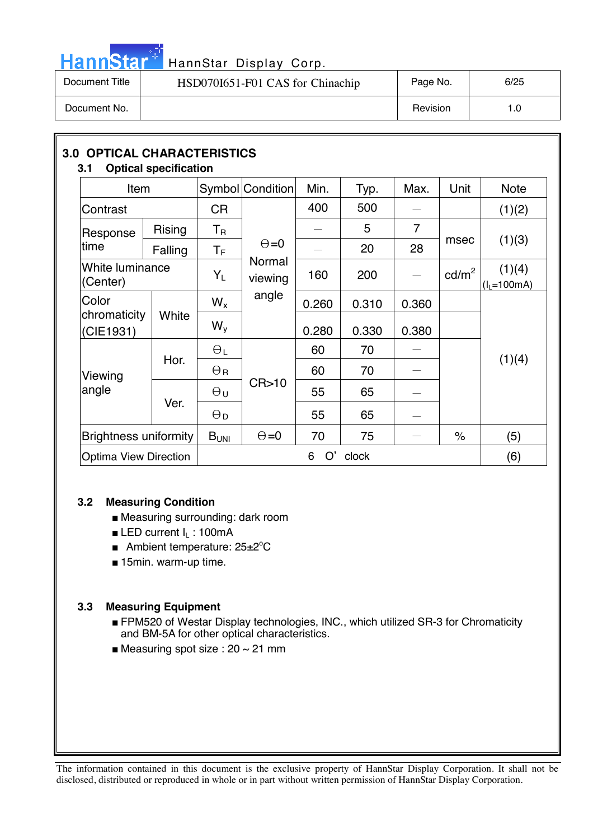# HannStar<sup>t HannStar</sup> Display Corp.

| Document Title | HSD070I651-F01 CAS for Chinachip | Page No. | 6/25 |
|----------------|----------------------------------|----------|------|
| Document No.   |                                  | Revision | 1.0  |

| 3.1                       | <b>3.0 OPTICAL CHARACTERISTICS</b><br><b>Optical specification</b> |                           |                               |       |       |       |                      |                        |
|---------------------------|--------------------------------------------------------------------|---------------------------|-------------------------------|-------|-------|-------|----------------------|------------------------|
| Item                      |                                                                    |                           | Symbol Condition              | Min.  | Typ.  | Max.  | Unit                 | <b>Note</b>            |
| Contrast                  |                                                                    | <b>CR</b>                 |                               | 400   | 500   |       |                      | (1)(2)                 |
| Response                  | <b>Rising</b>                                                      | $\mathsf{T}_{\mathsf{R}}$ |                               |       | 5     | 7     |                      |                        |
| time                      | Falling                                                            | $\mathsf T_{\mathsf F}$   | $\Theta = 0$                  |       | 20    | 28    | msec                 | (1)(3)                 |
| (Center)                  | White luminance                                                    |                           | Normal<br>viewing             | 160   | 200   |       | $\text{cd/m}^2$      | (1)(4)<br>$(IL=100mA)$ |
| Color                     |                                                                    |                           | angle                         | 0.260 | 0.310 | 0.360 |                      |                        |
| chromaticity<br>(CIE1931) | White                                                              | $W_{V}$                   |                               | 0.280 | 0.330 | 0.380 |                      |                        |
|                           | Hor.                                                               | $\Theta_L$                |                               | 60    | 70    |       |                      | (1)(4)                 |
| Viewing                   |                                                                    | $\Theta$ R                |                               | 60    | 70    |       |                      |                        |
| angle                     | Ver.                                                               | $\Theta$ u                | CR > 10                       | 55    | 65    |       |                      |                        |
|                           |                                                                    | $\Theta_{\mathsf{D}}$     |                               | 55    | 65    |       |                      |                        |
|                           | <b>Brightness uniformity</b>                                       |                           | $\Theta = 0$                  | 70    | 75    |       | $\frac{1}{\sqrt{2}}$ | (5)                    |
|                           | <b>Optima View Direction</b>                                       |                           | $B_{UNI}$<br>O'<br>6<br>clock |       |       |       |                      | (6)                    |

#### **3.2 Measuring Condition**

- Measuring surrounding: dark room
- **ELED current**  $I_L$  **: 100mA**
- Ambient temperature: 25±2°C
- 15min. warm-up time.

#### **3.3 Measuring Equipment**

- FPM520 of Westar Display technologies, INC., which utilized SR-3 for Chromaticity and BM-5A for other optical characteristics.
- Measuring spot size :  $20 \sim 21$  mm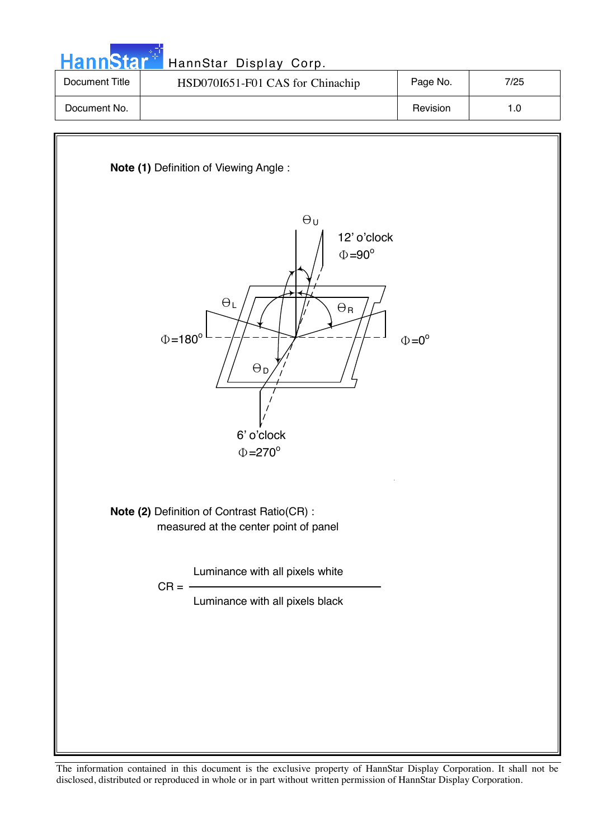| HannStar <sup>*</sup> | HannStar Display Corp.           |          |      |
|-----------------------|----------------------------------|----------|------|
| Document Title        | HSD070I651-F01 CAS for Chinachip | Page No. | 7/25 |
| Document No.          |                                  | Revision | 1.0  |
|                       |                                  |          |      |

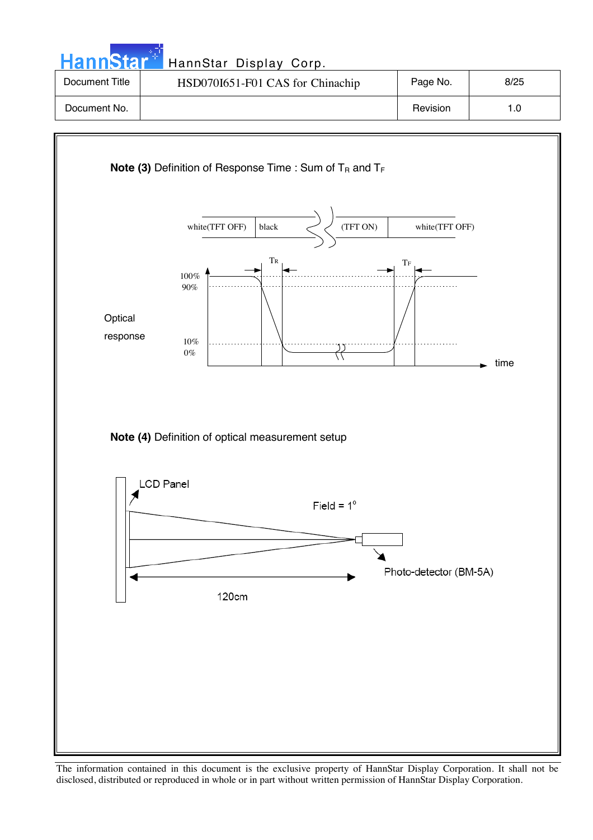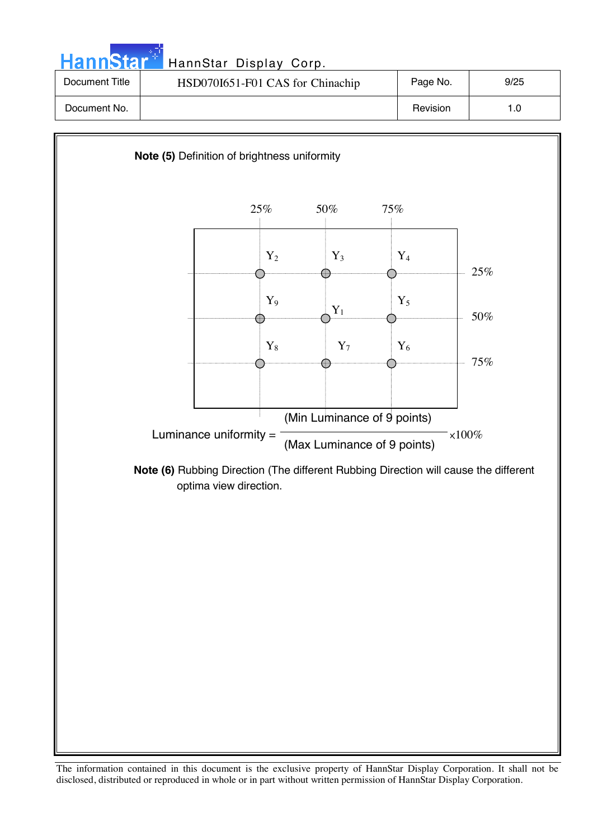| <b>HannStar</b> <sup>*1</sup> | HannStar Display Corp.           |          |      |
|-------------------------------|----------------------------------|----------|------|
| Document Title                | HSD070I651-F01 CAS for Chinachip | Page No. | 9/25 |
| Document No.                  |                                  | Revision | 1.0  |

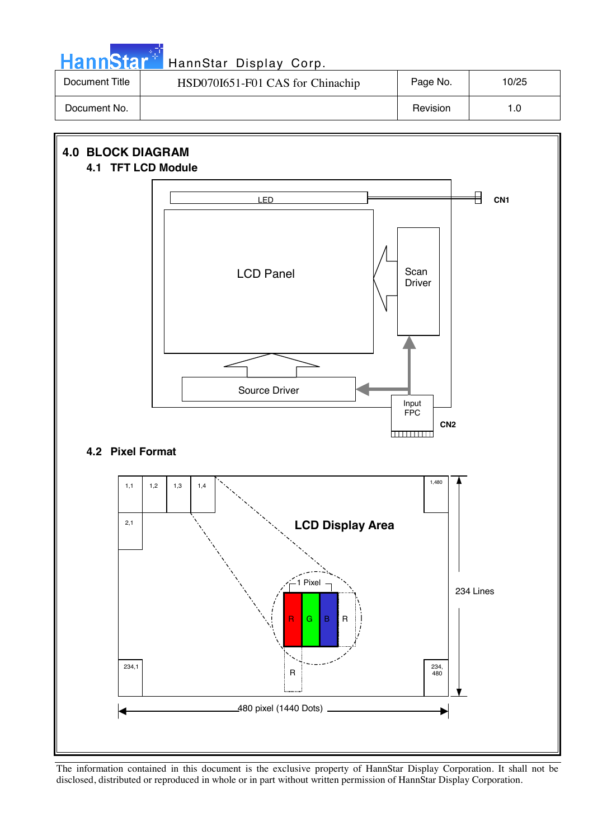| <b>HannStar</b> | HannStar Display Corp.           |          |       |
|-----------------|----------------------------------|----------|-------|
| Document Title  | HSD070I651-F01 CAS for Chinachip | Page No. | 10/25 |
| Document No.    |                                  | Revision | 1.0   |

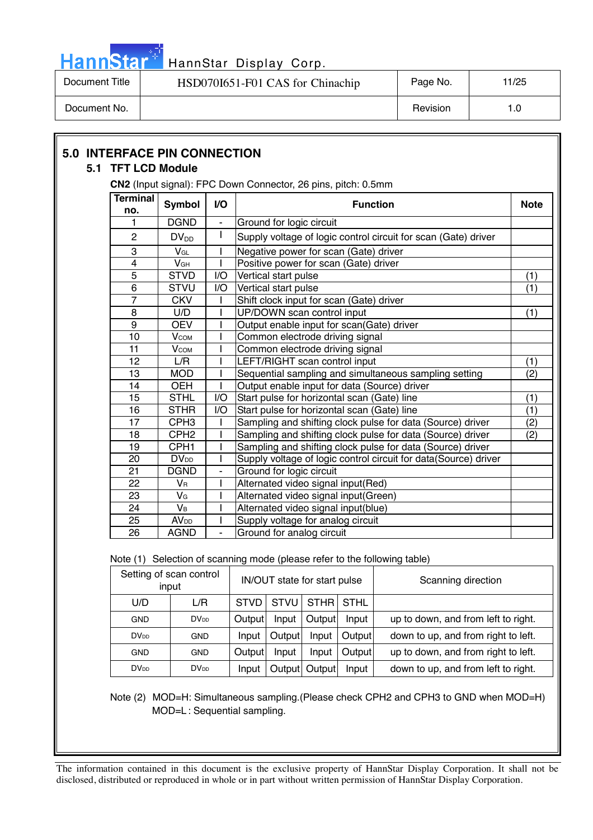

Document Title | HSD070I651-F01 CAS for Chinachip | Page No. | 11/25 Document No. 1.0

|                         | CN2 (Input signal): FPC Down Connector, 26 pins, pitch: 0.5mm |                          |                                    |                                                               |             |                                     |                                                                           |             |
|-------------------------|---------------------------------------------------------------|--------------------------|------------------------------------|---------------------------------------------------------------|-------------|-------------------------------------|---------------------------------------------------------------------------|-------------|
| <b>Terminal</b><br>no.  | <b>Symbol</b>                                                 | I/O                      |                                    |                                                               |             | <b>Function</b>                     |                                                                           | <b>Note</b> |
| 1                       | <b>DGND</b>                                                   | $\blacksquare$           |                                    | Ground for logic circuit                                      |             |                                     |                                                                           |             |
| $\overline{c}$          | $DV_{DD}$                                                     | L                        |                                    |                                                               |             |                                     | Supply voltage of logic control circuit for scan (Gate) driver            |             |
| 3                       | VGL                                                           |                          |                                    | Negative power for scan (Gate) driver                         |             |                                     |                                                                           |             |
| 4                       | V <sub>GH</sub>                                               | I                        |                                    | Positive power for scan (Gate) driver                         |             |                                     |                                                                           |             |
| 5                       | <b>STVD</b>                                                   | I/O                      |                                    | Vertical start pulse                                          |             |                                     |                                                                           | (1)         |
| 6                       | <b>STVU</b>                                                   | I/O                      |                                    | Vertical start pulse                                          |             |                                     |                                                                           | (1)         |
| 7                       | <b>CKV</b>                                                    |                          |                                    | Shift clock input for scan (Gate) driver                      |             |                                     |                                                                           |             |
| 8                       | U/D                                                           |                          |                                    | UP/DOWN scan control input                                    |             |                                     |                                                                           | (1)         |
| 9                       | <b>OEV</b>                                                    |                          |                                    |                                                               |             |                                     | Output enable input for scan(Gate) driver                                 |             |
| 10                      | $V_{COM}$                                                     |                          |                                    | Common electrode driving signal                               |             |                                     |                                                                           |             |
| 11                      | $V_{COM}$                                                     |                          |                                    | Common electrode driving signal                               |             |                                     |                                                                           |             |
| 12                      | L/R                                                           |                          |                                    | LEFT/RIGHT scan control input                                 |             |                                     |                                                                           | (1)<br>(2)  |
| 13                      | <b>MOD</b>                                                    |                          |                                    | Sequential sampling and simultaneous sampling setting         |             |                                     |                                                                           |             |
| 14                      | OEH                                                           |                          |                                    | Output enable input for data (Source) driver                  |             |                                     |                                                                           |             |
| 15                      | <b>STHL</b>                                                   | I/O                      |                                    | Start pulse for horizontal scan (Gate) line                   |             |                                     |                                                                           |             |
| 16                      | <b>STHR</b>                                                   | I/O                      |                                    | Start pulse for horizontal scan (Gate) line                   |             |                                     |                                                                           |             |
| 17                      | CPH <sub>3</sub>                                              |                          |                                    | Sampling and shifting clock pulse for data (Source) driver    |             |                                     |                                                                           |             |
| 18                      | CPH <sub>2</sub>                                              |                          |                                    |                                                               |             |                                     | Sampling and shifting clock pulse for data (Source) driver                | (2)         |
| 19                      | CPH <sub>1</sub>                                              |                          |                                    |                                                               |             |                                     | Sampling and shifting clock pulse for data (Source) driver                |             |
| 20                      | <b>DV</b> <sub>DD</sub>                                       |                          |                                    |                                                               |             |                                     | Supply voltage of logic control circuit for data(Source) driver           |             |
| 21                      | <b>DGND</b>                                                   | $\overline{\phantom{a}}$ |                                    | Ground for logic circuit                                      |             |                                     |                                                                           |             |
| 22                      | $V_{\mathsf{R}}$                                              | L                        |                                    | Alternated video signal input(Red)                            |             |                                     |                                                                           |             |
| 23                      | V <sub>G</sub>                                                |                          |                                    | Alternated video signal input(Green)                          |             |                                     |                                                                           |             |
| 24                      | $V_B$                                                         |                          |                                    | Alternated video signal input(blue)                           |             |                                     |                                                                           |             |
| 25                      | <b>AV</b> <sub>DD</sub>                                       |                          |                                    | Supply voltage for analog circuit                             |             |                                     |                                                                           |             |
| 26                      | <b>AGND</b>                                                   | ÷,                       |                                    | Ground for analog circuit                                     |             |                                     |                                                                           |             |
|                         |                                                               |                          |                                    |                                                               |             |                                     | Note (1) Selection of scanning mode (please refer to the following table) |             |
|                         | Setting of scan control<br>input                              |                          |                                    | IN/OUT state for start pulse                                  |             |                                     | Scanning direction                                                        |             |
| U/D                     | L/R                                                           |                          | <b>STVD</b>                        | <b>STVU</b>                                                   | <b>STHR</b> | <b>STHL</b>                         |                                                                           |             |
| <b>GND</b>              | <b>DV</b> <sub>DD</sub>                                       |                          | Output<br>Input<br>Output<br>Input |                                                               |             | up to down, and from left to right. |                                                                           |             |
| <b>DV</b> <sub>DD</sub> | GND                                                           |                          | Input                              | Output                                                        | Input       | Output                              | down to up, and from right to left.                                       |             |
| <b>GND</b>              | <b>GND</b>                                                    |                          | Output                             | Input                                                         | Input       | Output                              | up to down, and from right to left.                                       |             |
| <b>DV</b> <sub>DD</sub> | <b>DV</b> <sub>DD</sub>                                       |                          | Input                              | down to up, and from left to right.<br>Output Output<br>Input |             |                                     |                                                                           |             |

Note (2) MOD=H: Simultaneous sampling.(Please check CPH2 and CPH3 to GND when MOD=H) MOD=L : Sequential sampling.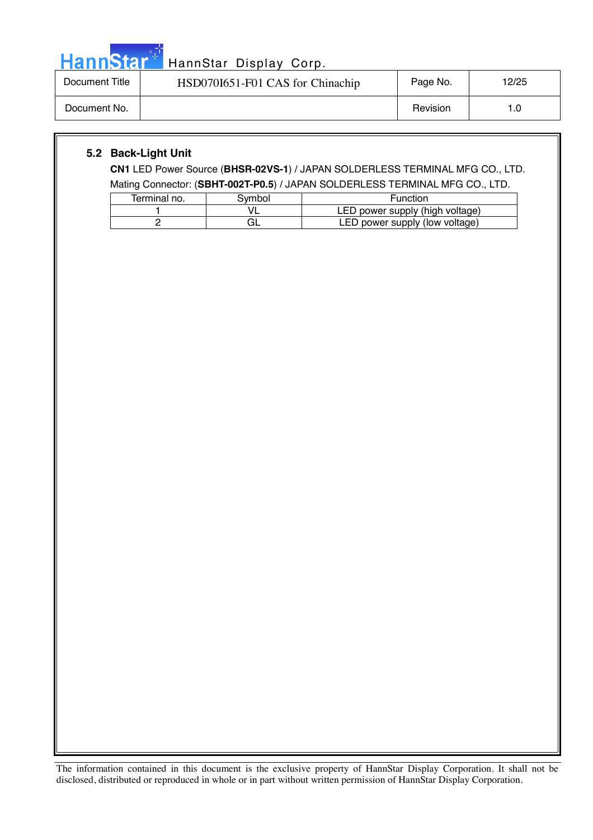| ann | Ы |  |
|-----|---|--|
|     |   |  |

| Document Title | HSD070I651-F01 CAS for Chinachip | Page No. | 12/25 |
|----------------|----------------------------------|----------|-------|
| Document No.   |                                  | Revision | 1.0   |

#### **5.2 Back-Light Unit**

**CN1** LED Power Source (**BHSR-02VS-1**) / JAPAN SOLDERLESS TERMINAL MFG CO., LTD. Mating Connector: (**SBHT-002T-P0.5**) / JAPAN SOLDERLESS TERMINAL MFG CO., LTD.

| Terminal no. | Svmbol | <b>Function</b>                 |  |  |  |  |
|--------------|--------|---------------------------------|--|--|--|--|
|              |        | LED power supply (high voltage) |  |  |  |  |
|              | `äL    | LED power supply (low voltage)  |  |  |  |  |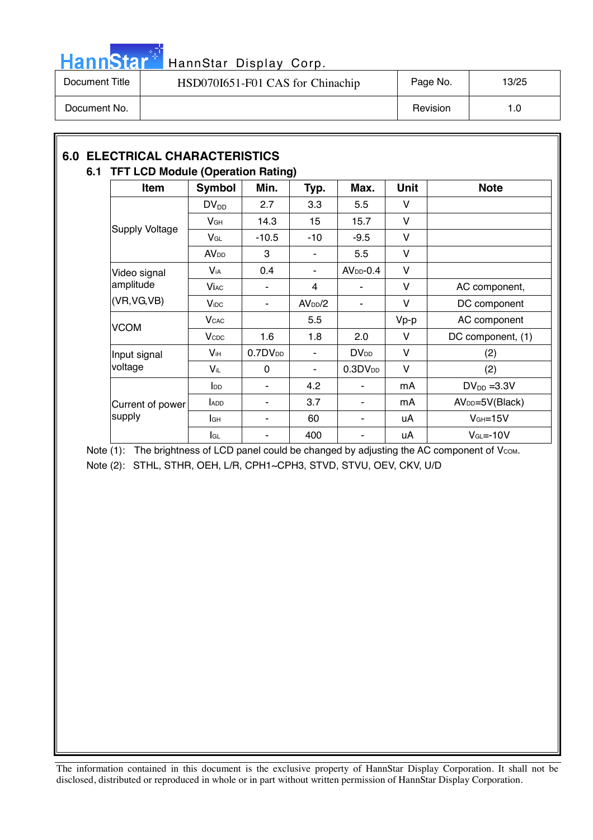

| Document Title | HSD070I651-F01 CAS for Chinachip | Page No. | 13/25 |
|----------------|----------------------------------|----------|-------|
| Document No.   |                                  | Revision | 1.0   |

#### **6.0 ELECTRICAL CHARACTERISTICS 6.1 TFT LCD Module (Operation Rating)**

| Item                       | <b>Symbol</b>           | Min.         | Typ.                | Max.                   | <b>Unit</b> | <b>Note</b>                 |
|----------------------------|-------------------------|--------------|---------------------|------------------------|-------------|-----------------------------|
|                            | $DV_{DD}$               | 2.7          | 3.3                 | 5.5                    | v           |                             |
|                            | $V$ GH                  | 14.3         | 15                  | 15.7                   | v           |                             |
| <b>Supply Voltage</b>      | $V_{GL}$                | $-10.5$      | $-10$               | $-9.5$                 | v           |                             |
|                            | <b>AV<sub>DD</sub></b>  | 3            | ۰                   | 5.5                    | V           |                             |
| Video signal               | <b>V</b> <sub>iA</sub>  | 0.4          |                     | $AVDD - 0.4$           | v           |                             |
| amplitude<br>(VR, VG, VB)  | <b>Vi</b> ac            |              | 4                   |                        | V           | AC component,               |
|                            | $V_{\text{IDC}}$        | ٠            | AV <sub>DD</sub> /2 | ۰                      | V           | DC component                |
| <b>VCOM</b>                | <b>V</b> <sub>CAC</sub> |              | 5.5                 |                        | Vp-p        | AC component                |
|                            | $V_{\text{CDC}}$        | 1.6          | 1.8                 | 2.0                    | v           | DC component, (1)           |
| Input signal               | $V_{iH}$                | $0.7DV_{DD}$ |                     | <b>DV<sub>DD</sub></b> | v           | (2)                         |
| voltage                    | $V_{iL}$                | 0            | ۰                   | 0.3DV <sub>DD</sub>    | v           | (2)                         |
|                            | <b>I</b> <sub>DD</sub>  | ۰            | 4.2                 |                        | mA          | $DV_{DD} = 3.3V$            |
| Current of power<br>supply | ADD                     | ٠            | 3.7                 | ۰                      | mA          | AV <sub>DD</sub> =5V(Black) |
|                            | lан                     | ٠            | 60                  | ٠                      | uA          | $VGH=15V$                   |
|                            | lgL                     |              | 400                 |                        | uA          | $VGL=-10V$                  |

Note (1): The brightness of LCD panel could be changed by adjusting the AC component of Vcom. Note (2): STHL, STHR, OEH, L/R, CPH1~CPH3, STVD, STVU, OEV, CKV, U/D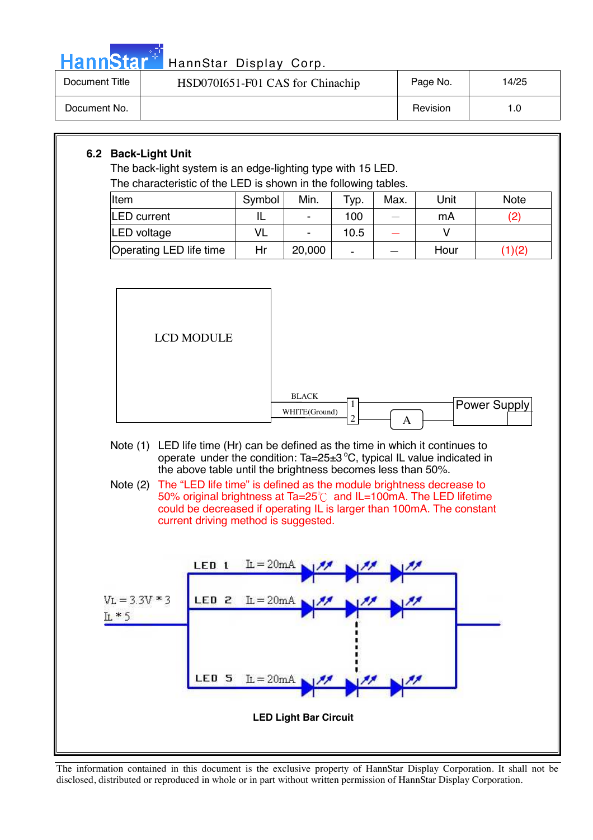

| Document Title | HSD070I651-F01 CAS for Chinachip | Page No. | 14/25 |
|----------------|----------------------------------|----------|-------|
| Document No.   |                                  | Revision |       |

#### **6.2 Back-Light Unit**

The back-light system is an edge-lighting type with 15 LED. The characteristic of the LED is shown in the following tables.

| Item                    | Symbol | Min.   | <sup>т</sup> ур. | Max. | Unit | Note  |
|-------------------------|--------|--------|------------------|------|------|-------|
| <b>LED</b> current      |        |        | 100              |      | mA   | (2    |
| LED voltage             |        |        | 10.5             |      |      |       |
| Operating LED life time | Hr     | 20,000 | -                |      | Hour | 1)(2) |



- Note (1) LED life time (Hr) can be defined as the time in which it continues to operate under the condition: Ta=25 $\pm$ 3 °C, typical IL value indicated in the above table until the brightness becomes less than 50%.
- Note (2) The "LED life time" is defined as the module brightness decrease to 50% original brightness at Ta=25 $\degree$ C and IL=100mA. The LED lifetime could be decreased if operating IL is larger than 100mA. The constant current driving method is suggested.

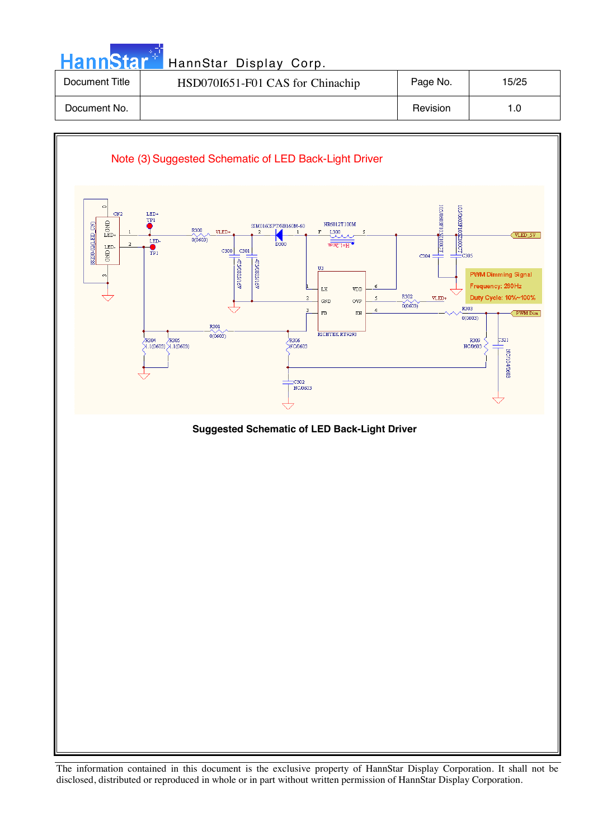| <b>HannStar</b> * | HannStar Display Corp.           |          |       |
|-------------------|----------------------------------|----------|-------|
| Document Title    | HSD070I651-F01 CAS for Chinachip | Page No. | 15/25 |
| Document No.      |                                  | Revision | 1.0   |
|                   |                                  |          |       |

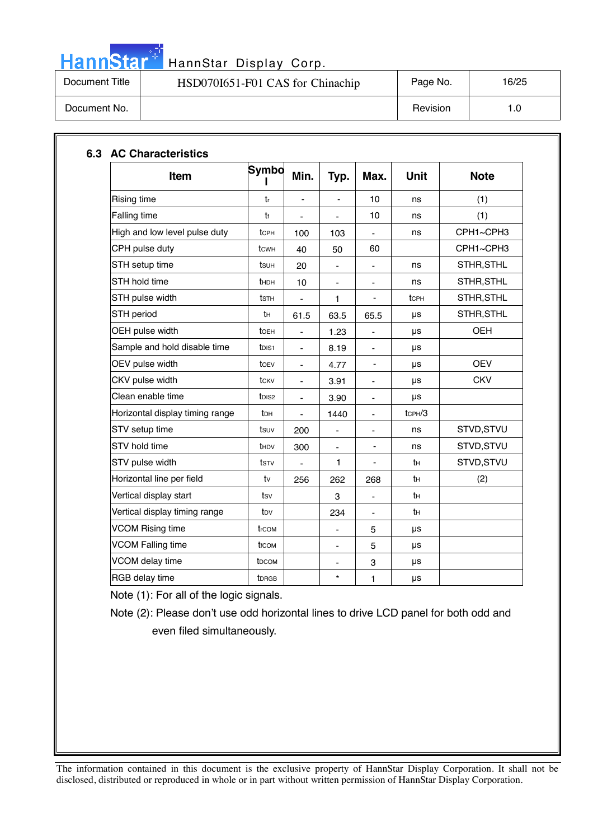

| Document Title | HSD070I651-F01 CAS for Chinachip | Page No. | 16/25 |
|----------------|----------------------------------|----------|-------|
| Document No.   |                                  | Revision | 1.0   |

| Item                            | Symbo             | Min.                         | Typ.                     | Max.                         | <b>Unit</b>  | <b>Note</b> |
|---------------------------------|-------------------|------------------------------|--------------------------|------------------------------|--------------|-------------|
| <b>Rising time</b>              | tr                |                              |                          | 10                           | ns           | (1)         |
| Falling time                    | t                 | $\qquad \qquad \blacksquare$ | $\overline{a}$           | 10                           | ns           | (1)         |
| High and low level pulse duty   | tcph              | 100                          | 103                      |                              | ns           | CPH1~CPH3   |
| CPH pulse duty                  | tcw <sub>H</sub>  | 40                           | 50                       | 60                           |              | CPH1~CPH3   |
| STH setup time                  | tsuh              | 20                           |                          |                              | ns           | STHR, STHL  |
| STH hold time                   | thDH              | 10                           | $\overline{\phantom{a}}$ | $\qquad \qquad \blacksquare$ | ns           | STHR, STHL  |
| STH pulse width                 | tsth              |                              | 1                        |                              | tcPH         | STHR, STHL  |
| STH period                      | tн                | 61.5                         | 63.5                     | 65.5                         | μs           | STHR, STHL  |
| OEH pulse width                 | toeh              | $\blacksquare$               | 1.23                     | $\qquad \qquad \blacksquare$ | μs           | <b>OEH</b>  |
| Sample and hold disable time    | t <sub>DIS1</sub> | $\blacksquare$               | 8.19                     | $\blacksquare$               | μs           |             |
| OEV pulse width                 | toev              | $\qquad \qquad \blacksquare$ | 4.77                     | $\qquad \qquad \blacksquare$ | μs           | <b>OEV</b>  |
| CKV pulse width                 | tcky              | $\blacksquare$               | 3.91                     | $\qquad \qquad \blacksquare$ | μs           | <b>CKV</b>  |
| Clean enable time               | t <sub>DIS2</sub> | $\blacksquare$               | 3.90                     | $\qquad \qquad \blacksquare$ | μs           |             |
| Horizontal display timing range | tрн               | $\blacksquare$               | 1440                     | $\blacksquare$               | $t$ CPH $/3$ |             |
| STV setup time                  | tsuv              | 200                          | -                        | -                            | ns           | STVD, STVU  |
| STV hold time                   | t <sub>HDV</sub>  | 300                          | ä,                       |                              | ns           | STVD, STVU  |
| STV pulse width                 | tstv              | ÷,                           | 1                        | $\overline{\phantom{0}}$     | tн           | STVD, STVU  |
| Horizontal line per field       | tv                | 256                          | 262                      | 268                          | tн           | (2)         |
| Vertical display start          | tsv               |                              | 3                        | $\blacksquare$               | tн           |             |
| Vertical display timing range   | tov               |                              | 234                      |                              | tн           |             |
| <b>VCOM Rising time</b>         | trcom             |                              | $\overline{\phantom{0}}$ | 5                            | μs           |             |
| <b>VCOM Falling time</b>        | t <sub>fCOM</sub> |                              | ÷                        | 5                            | μs           |             |
| VCOM delay time                 | t <sub>DCOM</sub> |                              | ÷                        | 3                            | μs           |             |
| RGB delay time                  | <b>t</b> DRGB     |                              | $\star$                  | 1                            | μs           |             |

Note (1): For all of the logic signals.

Note (2): Please don't use odd horizontal lines to drive LCD panel for both odd and even filed simultaneously.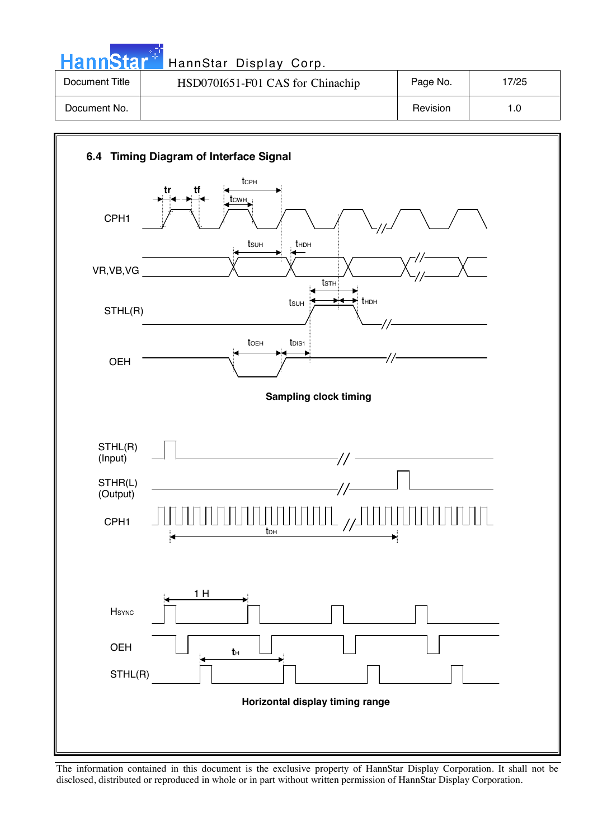| HannStar <sup>+</sup> | HannStar Display Corp.           |          |       |
|-----------------------|----------------------------------|----------|-------|
| Document Title        | HSD070I651-F01 CAS for Chinachip | Page No. | 17/25 |
| Document No.          |                                  | Revision | 1.0   |

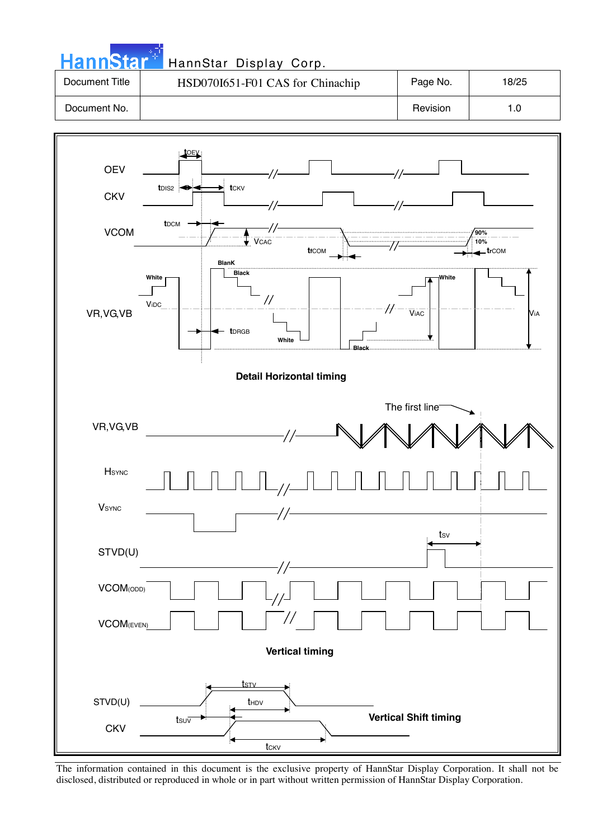| <b>HannStart</b> | HannStar Display Corp.           |          |       |
|------------------|----------------------------------|----------|-------|
| Document Title   | HSD070I651-F01 CAS for Chinachip | Page No. | 18/25 |
| Document No.     |                                  | Revision | 1.0   |

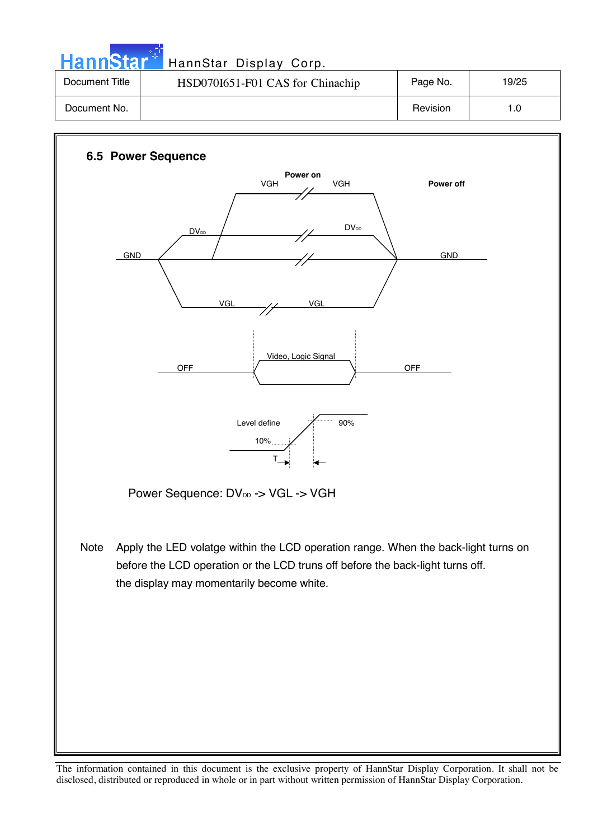Hann Star<sup>t H</sup> HannStar Display Corp.

| Document Title | HSD070I651-F01 CAS for Chinachip | Page No. | 19/25 |
|----------------|----------------------------------|----------|-------|
| Document No.   |                                  | Revision |       |

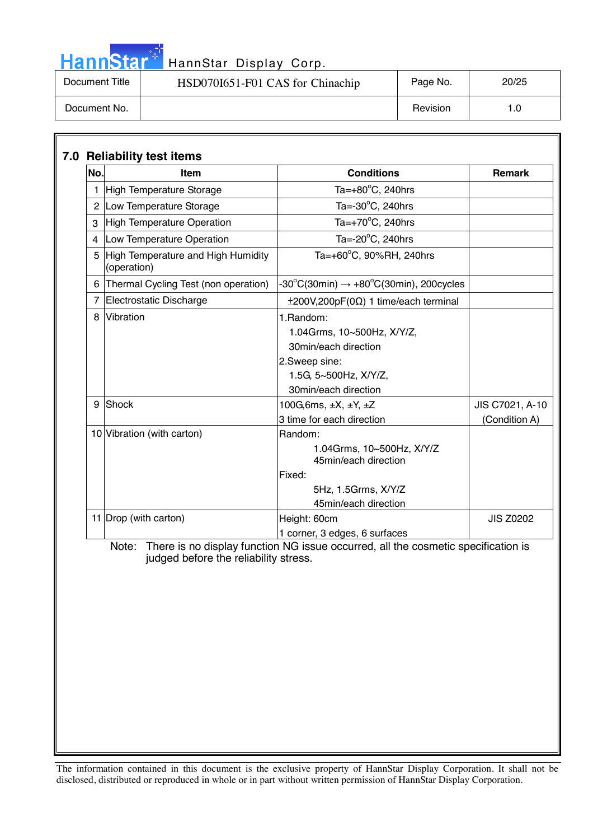|  |  | <b>HannStat</b> |  |
|--|--|-----------------|--|
|  |  |                 |  |
|  |  |                 |  |

| Document Title | HSD070I651-F01 CAS for Chinachip | Page No. | 20/25 |
|----------------|----------------------------------|----------|-------|
| Document No.   |                                  | Revision |       |

| No. | Item                                              | <b>Conditions</b>                                                                                                                  | <b>Remark</b>                    |
|-----|---------------------------------------------------|------------------------------------------------------------------------------------------------------------------------------------|----------------------------------|
|     | <b>High Temperature Storage</b>                   | Ta= $+80^{\circ}$ C, 240hrs                                                                                                        |                                  |
|     | 2 Low Temperature Storage                         | Ta=-30°C, 240hrs                                                                                                                   |                                  |
| 3   | <b>High Temperature Operation</b>                 | Ta= $+70^{\circ}$ C, 240hrs                                                                                                        |                                  |
|     | 4 Low Temperature Operation                       | Ta=-20°C, 240hrs                                                                                                                   |                                  |
| 5   | High Temperature and High Humidity<br>(operation) | Ta=+60°C, 90%RH, 240hrs                                                                                                            |                                  |
| 6   | Thermal Cycling Test (non operation)              | -30°C(30min) $\rightarrow$ +80°C(30min), 200cycles                                                                                 |                                  |
|     | 7 Electrostatic Discharge                         | $\pm 200V, 200pF(0\Omega)$ 1 time/each terminal                                                                                    |                                  |
| 8   | Vibration                                         | 1. Random:<br>1.04Grms, 10~500Hz, X/Y/Z,<br>30min/each direction<br>2.Sweep sine:<br>1.5G, 5~500Hz, X/Y/Z,<br>30min/each direction |                                  |
| 9   | Shock                                             | 100G, 6ms, $\pm X$ , $\pm Y$ , $\pm Z$<br>3 time for each direction                                                                | JIS C7021, A-10<br>(Condition A) |
|     | 10 Vibration (with carton)                        | Random:<br>1.04Grms, 10~500Hz, X/Y/Z<br>45min/each direction<br>Fixed:<br>5Hz, 1.5Grms, X/Y/Z<br>45min/each direction              |                                  |
|     | 11 Drop (with carton)                             | Height: 60cm<br>1 corner, 3 edges, 6 surfaces                                                                                      | <b>JIS Z0202</b>                 |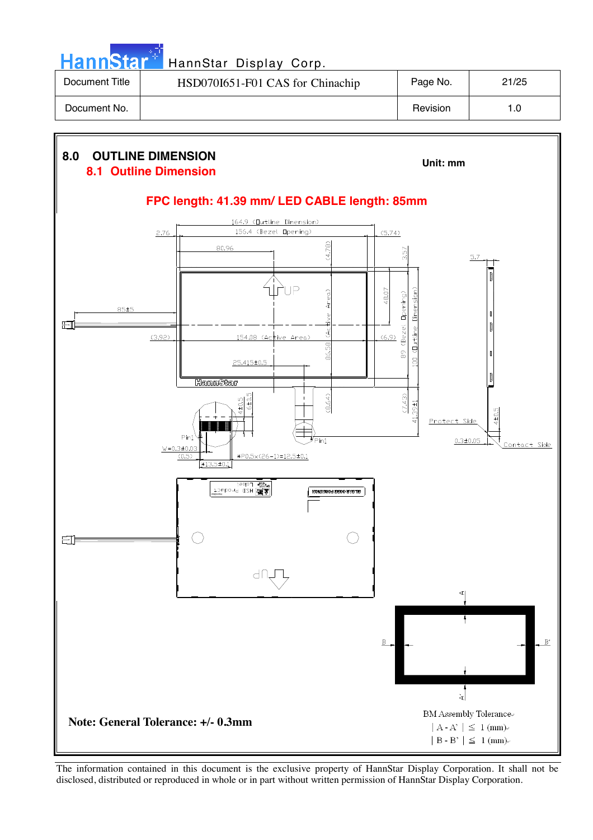|                | HannStar <sup>+</sup> HannStar Display Corp. |          |       |
|----------------|----------------------------------------------|----------|-------|
| Document Title | HSD070I651-F01 CAS for Chinachip             | Page No. | 21/25 |
| Document No.   |                                              | Revision | 1.0   |

والمرادي

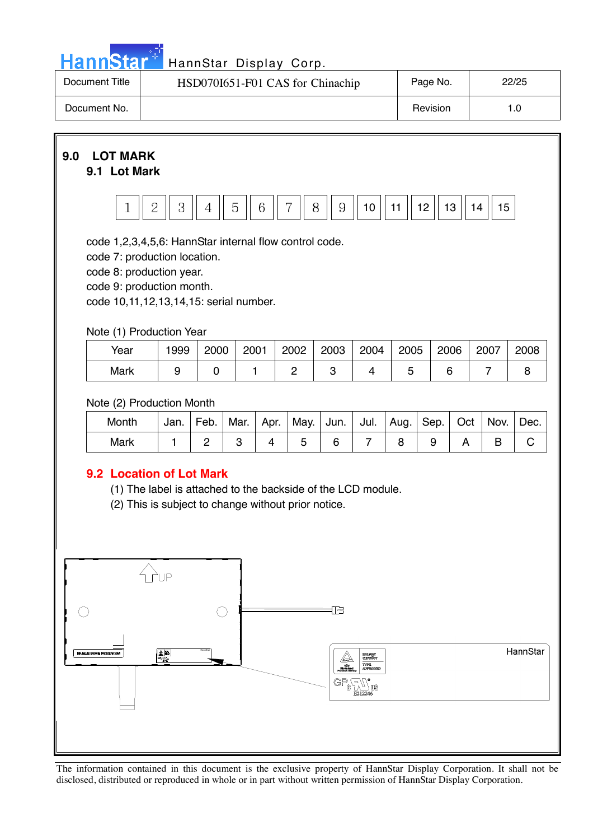| n a |     |   |  |
|-----|-----|---|--|
|     | ann | Ð |  |
| H   |     |   |  |

| Document Title | HSD070I651-F01 CAS for Chinachip | Page No. | 22/25 |
|----------------|----------------------------------|----------|-------|
| Document No.   |                                  | Revision |       |

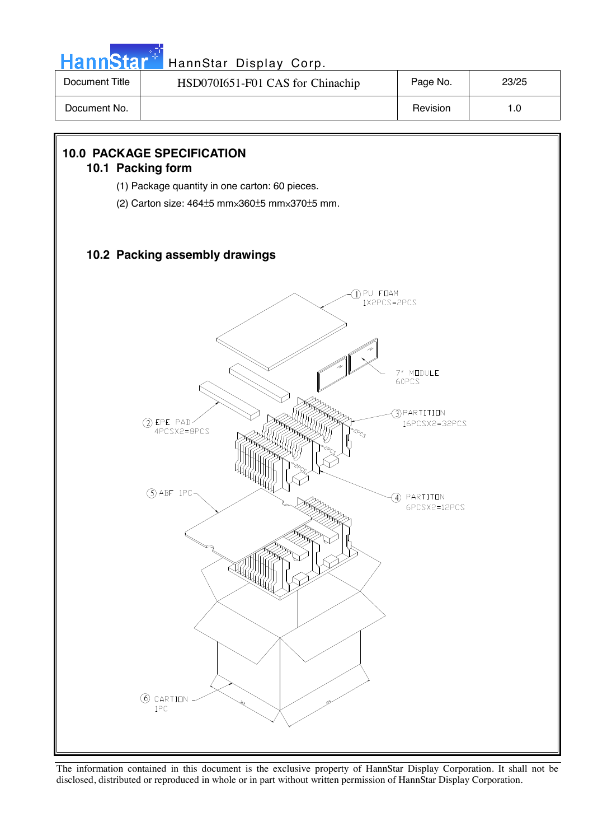

| Document Title | HSD070I651-F01 CAS for Chinachip | Page No. | 23/25 |
|----------------|----------------------------------|----------|-------|
| Document No.   |                                  | Revision |       |

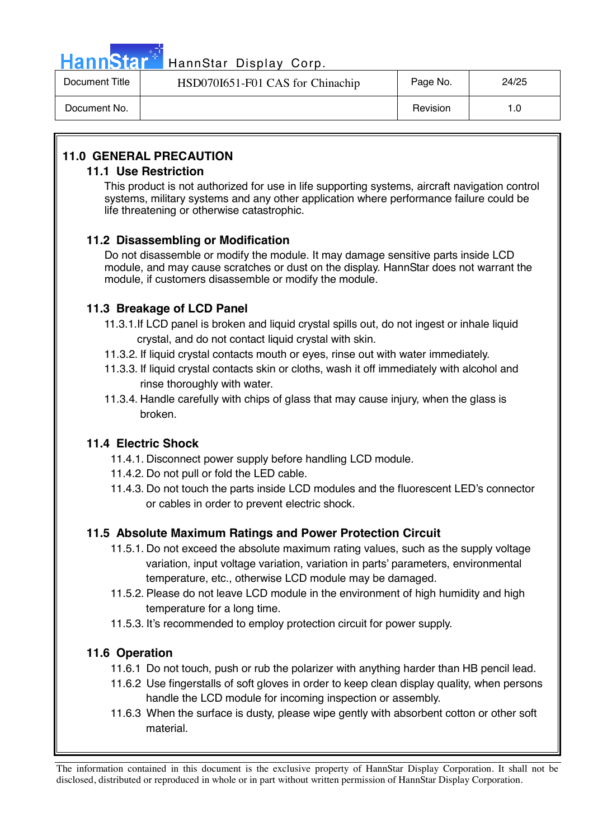

# HannStar<sup>47</sup> HannStar Display Corp.

| Document Title | HSD070I651-F01 CAS for Chinachip | Page No. | 24/25 |
|----------------|----------------------------------|----------|-------|
| Document No.   |                                  | Revision | 1.0   |

### **11.0 GENERAL PRECAUTION**

#### **11.1 Use Restriction**

This product is not authorized for use in life supporting systems, aircraft navigation control systems, military systems and any other application where performance failure could be life threatening or otherwise catastrophic.

#### **11.2 Disassembling or Modification**

 Do not disassemble or modify the module. It may damage sensitive parts inside LCD module, and may cause scratches or dust on the display. HannStar does not warrant the module, if customers disassemble or modify the module.

#### **11.3 Breakage of LCD Panel**

- 11.3.1.If LCD panel is broken and liquid crystal spills out, do not ingest or inhale liquid crystal, and do not contact liquid crystal with skin.
- 11.3.2. If liquid crystal contacts mouth or eyes, rinse out with water immediately.
- 11.3.3. If liquid crystal contacts skin or cloths, wash it off immediately with alcohol and rinse thoroughly with water.
- 11.3.4. Handle carefully with chips of glass that may cause injury, when the glass is broken.

#### **11.4 Electric Shock**

- 11.4.1. Disconnect power supply before handling LCD module.
- 11.4.2. Do not pull or fold the LED cable.
- 11.4.3. Do not touch the parts inside LCD modules and the fluorescent LED's connector or cables in order to prevent electric shock.

#### **11.5 Absolute Maximum Ratings and Power Protection Circuit**

- 11.5.1. Do not exceed the absolute maximum rating values, such as the supply voltage variation, input voltage variation, variation in parts' parameters, environmental temperature, etc., otherwise LCD module may be damaged.
- 11.5.2. Please do not leave LCD module in the environment of high humidity and high temperature for a long time.
- 11.5.3. It's recommended to employ protection circuit for power supply.

#### **11.6 Operation**

- 11.6.1 Do not touch, push or rub the polarizer with anything harder than HB pencil lead.
- 11.6.2 Use fingerstalls of soft gloves in order to keep clean display quality, when persons handle the LCD module for incoming inspection or assembly.
- 11.6.3 When the surface is dusty, please wipe gently with absorbent cotton or other soft material.